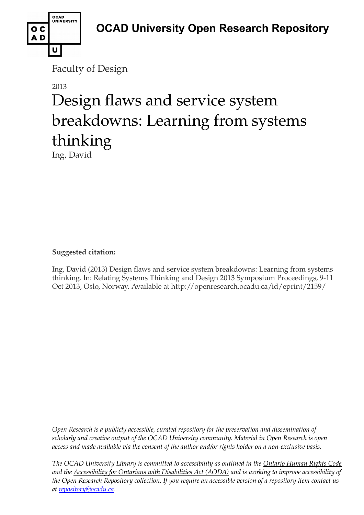

Faculty of Design

# 2013

# Design flaws and service system breakdowns: Learning from systems thinking

Ing, David

### **Suggested citation:**

Ing, David (2013) Design flaws and service system breakdowns: Learning from systems thinking. In: Relating Systems Thinking and Design 2013 Symposium Proceedings, 9-11 Oct 2013, Oslo, Norway. Available at http://openresearch.ocadu.ca/id/eprint/2159/

*Open Research is a publicly accessible, curated repository for the preservation and dissemination of scholarly and creative output of the OCAD University community. Material in Open Research is open access and made available via the consent of the author and/or rights holder on a non-exclusive basis.* 

*The OCAD University Library is committed to accessibility as outlined in the Ontario Human Rights Code and the Accessibility for Ontarians with Disabilities Act (AODA) and is working to improve accessibility of the Open Research Repository collection. If you require an accessible version of a repository item contact us at [repository@ocadu.ca.](mailto:repository@ocadu.ca)*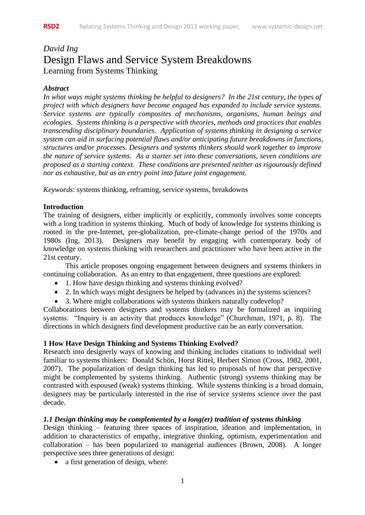## *David Ing* Design Flaws and Service System Breakdowns Learning from Systems Thinking

#### *Abstract*

*In what ways might systems thinking be helpful to designers? In the 21st century, the types of project with which designers have become engaged has expanded to include service systems. Service systems are typically composites of mechanisms, organisms, human beings and ecologies. Systems thinking is a perspective with theories, methods and practices that enables transcending disciplinary boundaries. Application of systems thinking in designing a service system can aid in surfacing potential flaws and/or anticipating future breakdowns in functions, structures and/or processes. Designers and systems thinkers should work together to improve the nature of service systems. As a starter set into these conversations, seven conditions are proposed as a starting context. These conditions are presented neither as rigourously defined nor as exhaustive, but as an entry point into future joint engagement.*

*Keywords*: systems thinking, reframing, service systems, breakdowns

#### **Introduction**

The training of designers, either implicitly or explicitly, commonly involves some concepts with a long tradition in systems thinking. Much of body of knowledge for systems thinking is rooted in the pre-Internet, pre-globalization, pre-climate-change period of the 1970s and 1980s (Ing, 2013). Designers may benefit by engaging with contemporary body of knowledge on systems thinking with researchers and practitioner who have been active in the 21st century.

This article proposes ongoing engagement between designers and systems thinkers in continuing collaboration. As an entry to that engagement, three questions are explored:

- 1. How have design thinking and systems thinking evolved?
- 2. In which ways might designers be helped by (advances in) the systems sciences?
- 3. Where might collaborations with systems thinkers naturally codevelop?

Collaborations between designers and systems thinkers may be formalized as inquiring systems. "Inquiry is an activity that produces knowledge" (Churchman, 1971, p. 8). The directions in which designers find development productive can be an early conversation.

#### **1 How Have Design Thinking and Systems Thinking Evolved?**

Research into designerly ways of knowing and thinking includes citations to individual well familiar to systems thinkers: Donald Schön, Horst Rittel, Herbert Simon (Cross, 1982, 2001, 2007). The popularization of design thinking has led to proposals of how that perspective might be complemented by systems thinking. Authentic (strong) systems thinking may be contrasted with espoused (weak) systems thinking. While systems thinking is a broad domain, designers may be particularly interested in the rise of service systems science over the past decade.

#### *1.1 Design thinking may be complemented by a long(er) tradition of systems thinking*

Design thinking – featuring three spaces of inspiration, ideation and implementation, in addition to characteristics of empathy, integrative thinking, optimism, experimentation and collaboration – has been popularized to managerial audiences (Brown, 2008). A longer perspective sees three generations of design:

• a first generation of design, where: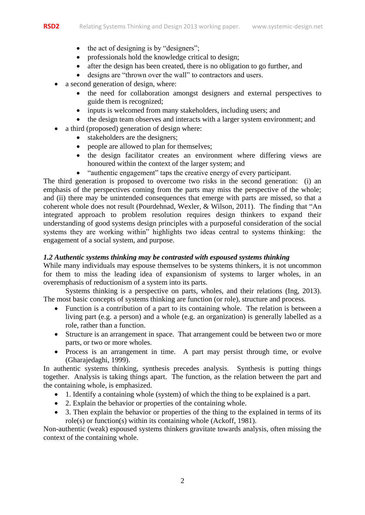- 
- $\bullet$  the act of designing is by "designers";
- professionals hold the knowledge critical to design;
- after the design has been created, there is no obligation to go further, and
- designs are "thrown over the wall" to contractors and users.
- a second generation of design, where:
	- the need for collaboration amongst designers and external perspectives to guide them is recognized;
	- inputs is welcomed from many stakeholders, including users; and
	- the design team observes and interacts with a larger system environment; and
- a third (proposed) generation of design where:
	- stakeholders are the designers;
	- people are allowed to plan for themselves;
	- the design facilitator creates an environment where differing views are honoured within the context of the larger system; and
	- "authentic engagement" taps the creative energy of every participant.

The third generation is proposed to overcome two risks in the second generation: (i) an emphasis of the perspectives coming from the parts may miss the perspective of the whole; and (ii) there may be unintended consequences that emerge with parts are missed, so that a coherent whole does not result (Pourdehnad, Wexler, & Wilson, 2011). The finding that "An integrated approach to problem resolution requires design thinkers to expand their understanding of good systems design principles with a purposeful consideration of the social systems they are working within" highlights two ideas central to systems thinking: the engagement of a social system, and purpose.

#### *1.2 Authentic systems thinking may be contrasted with espoused systems thinking*

While many individuals may espouse themselves to be systems thinkers, it is not uncommon for them to miss the leading idea of expansionism of systems to larger wholes, in an overemphasis of reductionism of a system into its parts.

Systems thinking is a perspective on parts, wholes, and their relations (Ing, 2013). The most basic concepts of systems thinking are function (or role), structure and process.

- Function is a contribution of a part to its containing whole. The relation is between a living part (e.g. a person) and a whole (e.g. an organization) is generally labelled as a role, rather than a function.
- Structure is an arrangement in space. That arrangement could be between two or more parts, or two or more wholes.
- Process is an arrangement in time. A part may persist through time, or evolve (Gharajedaghi, 1999).

In authentic systems thinking, synthesis precedes analysis. Synthesis is putting things together. Analysis is taking things apart. The function, as the relation between the part and the containing whole, is emphasized.

- 1. Identify a containing whole (system) of which the thing to be explained is a part.
- 2. Explain the behavior or properties of the containing whole.
- 3. Then explain the behavior or properties of the thing to the explained in terms of its role(s) or function(s) within its containing whole (Ackoff, 1981).

Non-authentic (weak) espoused systems thinkers gravitate towards analysis, often missing the context of the containing whole.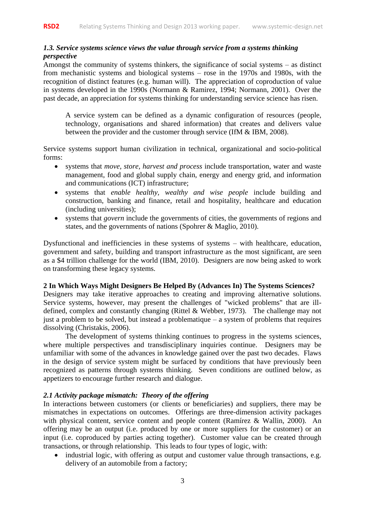#### *1.3. Service systems science views the value through service from a systems thinking perspective*

Amongst the community of systems thinkers, the significance of social systems – as distinct from mechanistic systems and biological systems – rose in the 1970s and 1980s, with the recognition of distinct features (e.g. human will). The appreciation of coproduction of value in systems developed in the 1990s (Normann & Ramirez, 1994; Normann, 2001). Over the past decade, an appreciation for systems thinking for understanding service science has risen.

A service system can be defined as a dynamic configuration of resources (people, technology, organisations and shared information) that creates and delivers value between the provider and the customer through service (IfM & IBM, 2008).

Service systems support human civilization in technical, organizational and socio-political forms:

- systems that *move, store, harvest and process* include transportation, water and waste management, food and global supply chain, energy and energy grid, and information and communications (ICT) infrastructure;
- systems that *enable healthy, wealthy and wise people* include building and construction, banking and finance, retail and hospitality, healthcare and education (including universities);
- systems that *govern* include the governments of cities, the governments of regions and states, and the governments of nations (Spohrer & Maglio, 2010).

Dysfunctional and inefficiencies in these systems of systems – with healthcare, education, government and safety, building and transport infrastructure as the most significant, are seen as a \$4 trillion challenge for the world (IBM, 2010). Designers are now being asked to work on transforming these legacy systems.

#### **2 In Which Ways Might Designers Be Helped By (Advances In) The Systems Sciences?**

Designers may take iterative approaches to creating and improving alternative solutions. Service systems, however, may present the challenges of "wicked problems" that are illdefined, complex and constantly changing (Rittel & Webber, 1973). The challenge may not just a problem to be solved, but instead a problematique  $-$  a system of problems that requires dissolving (Christakis, 2006).

The development of systems thinking continues to progress in the systems sciences, where multiple perspectives and transdisciplinary inquiries continue. Designers may be unfamiliar with some of the advances in knowledge gained over the past two decades. Flaws in the design of service system might be surfaced by conditions that have previously been recognized as patterns through systems thinking. Seven conditions are outlined below, as appetizers to encourage further research and dialogue.

#### *2.1 Activity package mismatch: Theory of the offering*

In interactions between customers (or clients or beneficiaries) and suppliers, there may be mismatches in expectations on outcomes. Offerings are three-dimension activity packages with physical content, service content and people content (Ramírez & Wallin, 2000). An offering may be an output (i.e. produced by one or more suppliers for the customer) or an input (i.e. coproduced by parties acting together). Customer value can be created through transactions, or through relationship. This leads to four types of logic, with:

• industrial logic, with offering as output and customer value through transactions, e.g. delivery of an automobile from a factory;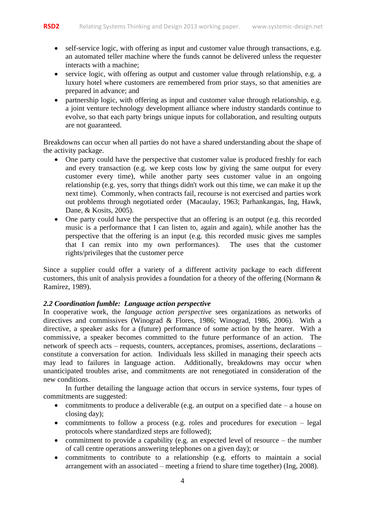- self-service logic, with offering as input and customer value through transactions, e.g. an automated teller machine where the funds cannot be delivered unless the requester interacts with a machine;
- service logic, with offering as output and customer value through relationship, e.g. a luxury hotel where customers are remembered from prior stays, so that amenities are prepared in advance; and
- partnership logic, with offering as input and customer value through relationship, e.g. a joint venture technology development alliance where industry standards continue to evolve, so that each party brings unique inputs for collaboration, and resulting outputs are not guaranteed.

Breakdowns can occur when all parties do not have a shared understanding about the shape of the activity package.

- One party could have the perspective that customer value is produced freshly for each and every transaction (e.g. we keep costs low by giving the same output for every customer every time), while another party sees customer value in an ongoing relationship (e.g. yes, sorry that things didn't work out this time, we can make it up the next time). Commonly, when contracts fail, recourse is not exercised and parties work out problems through negotiated order (Macaulay, 1963; Parhankangas, Ing, Hawk, Dane, & Kosits, 2005).
- One party could have the perspective that an offering is an output (e.g. this recorded music is a performance that I can listen to, again and again), while another has the perspective that the offering is an input (e.g. this recorded music gives me samples that I can remix into my own performances). The uses that the customer rights/privileges that the customer perce

Since a supplier could offer a variety of a different activity package to each different customers, this unit of analysis provides a foundation for a theory of the offering (Normann & Ramírez, 1989).

#### *2.2 Coordination fumble: Language action perspective*

In cooperative work, the *language action perspective* sees organizations as networks of directives and commissives (Winograd & Flores, 1986; Winograd, 1986, 2006). With a directive, a speaker asks for a (future) performance of some action by the hearer. With a commissive, a speaker becomes committed to the future performance of an action. The network of speech acts – requests, counters, acceptances, promises, assertions, declarations – constitute a conversation for action. Individuals less skilled in managing their speech acts may lead to failures in language action. Additionally, breakdowns may occur when unanticipated troubles arise, and commitments are not renegotiated in consideration of the new conditions.

In further detailing the language action that occurs in service systems, four types of commitments are suggested:

- commitments to produce a deliverable (e.g. an output on a specified date  $-$  a house on closing day);
- commitments to follow a process (e.g. roles and procedures for execution legal protocols where standardized steps are followed);
- commitment to provide a capability (e.g. an expected level of resource the number of call centre operations answering telephones on a given day); or
- commitments to contribute to a relationship (e.g. efforts to maintain a social arrangement with an associated – meeting a friend to share time together) (Ing, 2008).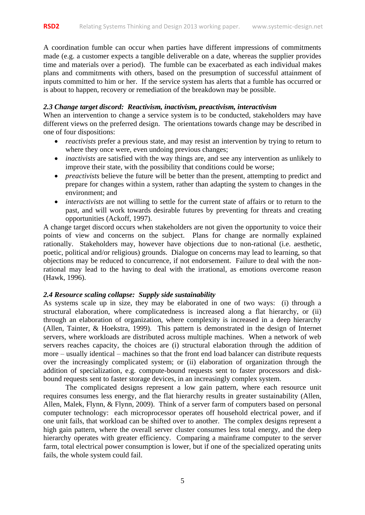A coordination fumble can occur when parties have different impressions of commitments made (e.g. a customer expects a tangible deliverable on a date, whereas the supplier provides time and materials over a period). The fumble can be exacerbated as each individual makes plans and commitments with others, based on the presumption of successful attainment of inputs committed to him or her. If the service system has alerts that a fumble has occurred or is about to happen, recovery or remediation of the breakdown may be possible.

#### *2.3 Change target discord: Reactivism, inactivism, preactivism, interactivism*

When an intervention to change a service system is to be conducted, stakeholders may have different views on the preferred design. The orientations towards change may be described in one of four dispositions:

- *reactivists* prefer a previous state, and may resist an intervention by trying to return to where they once were, even undoing previous changes;
- *inactivists* are satisfied with the way things are, and see any intervention as unlikely to improve their state, with the possibility that conditions could be worse;
- *preactivists* believe the future will be better than the present, attempting to predict and prepare for changes within a system, rather than adapting the system to changes in the environment; and
- *interactivists* are not willing to settle for the current state of affairs or to return to the past, and will work towards desirable futures by preventing for threats and creating opportunities (Ackoff, 1997).

A change target discord occurs when stakeholders are not given the opportunity to voice their points of view and concerns on the subject. Plans for change are normally explained rationally. Stakeholders may, however have objections due to non-rational (i.e. aesthetic, poetic, political and/or religious) grounds. Dialogue on concerns may lead to learning, so that objections may be reduced to concurrence, if not endorsement. Failure to deal with the nonrational may lead to the having to deal with the irrational, as emotions overcome reason (Hawk, 1996).

#### *2.4 Resource scaling collapse: Supply side sustainability*

As systems scale up in size, they may be elaborated in one of two ways: (i) through a structural elaboration, where complicatedness is increased along a flat hierarchy, or (ii) through an elaboration of organization, where complexity is increased in a deep hierarchy (Allen, Tainter, & Hoekstra, 1999). This pattern is demonstrated in the design of Internet servers, where workloads are distributed across multiple machines. When a network of web servers reaches capacity, the choices are (i) structural elaboration through the addition of more – usually identical – machines so that the front end load balancer can distribute requests over the increasingly complicated system; or (ii) elaboration of organization through the addition of specialization, e.g. compute-bound requests sent to faster processors and diskbound requests sent to faster storage devices, in an increasingly complex system.

The complicated designs represent a low gain pattern, where each resource unit requires consumes less energy, and the flat hierarchy results in greater sustainability (Allen, Allen, Malek, Flynn, & Flynn, 2009). Think of a server farm of computers based on personal computer technology: each microprocessor operates off household electrical power, and if one unit fails, that workload can be shifted over to another. The complex designs represent a high gain pattern, where the overall server cluster consumes less total energy, and the deep hierarchy operates with greater efficiency. Comparing a mainframe computer to the server farm, total electrical power consumption is lower, but if one of the specialized operating units fails, the whole system could fail.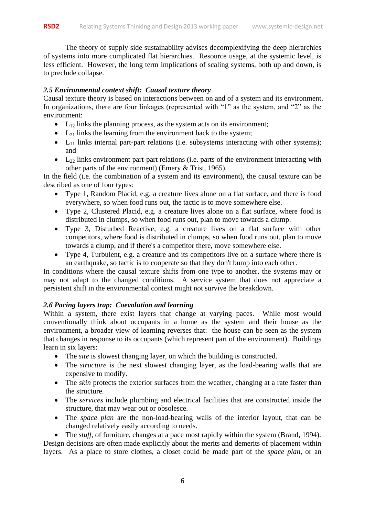The theory of supply side sustainability advises decomplexifying the deep hierarchies of systems into more complicated flat hierarchies. Resource usage, at the systemic level, is less efficient. However, the long term implications of scaling systems, both up and down, is to preclude collapse.

#### *2.5 Environmental context shift: Causal texture theory*

Causal texture theory is based on interactions between on and of a system and its environment. In organizations, there are four linkages (represented with "1" as the system, and "2" as the environment:

- $\bullet$  L<sub>12</sub> links the planning process, as the system acts on its environment;
- $\bullet$  L<sub>21</sub> links the learning from the environment back to the system;
- $\bullet$  L<sub>11</sub> links internal part-part relations (i.e. subsystems interacting with other systems); and
- $\bullet$  L<sub>22</sub> links environment part-part relations (i.e. parts of the environment interacting with other parts of the environment) (Emery & Trist, 1965).

In the field (i.e. the combination of a system and its environment), the causal texture can be described as one of four types:

- Type 1, Random Placid, e.g. a creature lives alone on a flat surface, and there is food everywhere, so when food runs out, the tactic is to move somewhere else.
- Type 2, Clustered Placid, e.g. a creature lives alone on a flat surface, where food is distributed in clumps, so when food runs out, plan to move towards a clump.
- Type 3, Disturbed Reactive, e.g. a creature lives on a flat surface with other competitors, where food is distributed in clumps, so when food runs out, plan to move towards a clump, and if there's a competitor there, move somewhere else.
- Type 4, Turbulent, e.g. a creature and its competitors live on a surface where there is an earthquake, so tactic is to cooperate so that they don't bump into each other.

In conditions where the causal texture shifts from one type to another, the systems may or may not adapt to the changed conditions. A service system that does not appreciate a persistent shift in the environmental context might not survive the breakdown.

#### *2.6 Pacing layers trap: Coevolution and learning*

Within a system, there exist layers that change at varying paces. While most would conventionally think about occupants in a home as the system and their house as the environment, a broader view of learning reverses that: the house can be seen as the system that changes in response to its occupants (which represent part of the environment). Buildings learn in six layers:

- The *site* is slowest changing layer, on which the building is constructed.
- The *structure* is the next slowest changing layer, as the load-bearing walls that are expensive to modify.
- The *skin* protects the exterior surfaces from the weather, changing at a rate faster than the structure.
- The *services* include plumbing and electrical facilities that are constructed inside the structure, that may wear out or obsolesce.
- The *space plan* are the non-load-bearing walls of the interior layout, that can be changed relatively easily according to needs.

The *stuff*, of furniture, changes at a pace most rapidly within the system (Brand, 1994). Design decisions are often made explicitly about the merits and demerits of placement within layers. As a place to store clothes, a closet could be made part of the *space plan*, or an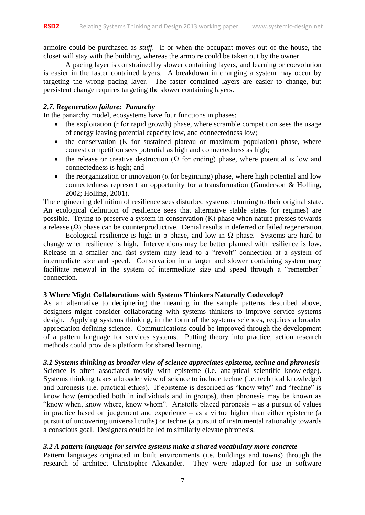armoire could be purchased as *stuff*. If or when the occupant moves out of the house, the closet will stay with the building, whereas the armoire could be taken out by the owner.

A pacing layer is constrained by slower containing layers, and learning or coevolution is easier in the faster contained layers. A breakdown in changing a system may occur by targeting the wrong pacing layer. The faster contained layers are easier to change, but persistent change requires targeting the slower containing layers.

#### *2.7. Regeneration failure: Panarchy*

In the panarchy model, ecosystems have four functions in phases:

- the exploitation (r for rapid growth) phase, where scramble competition sees the usage of energy leaving potential capacity low, and connectedness low;
- $\bullet$  the conservation (K for sustained plateau or maximum population) phase, where contest competition sees potential as high and connectedness as high;
- the release or creative destruction ( $\Omega$  for ending) phase, where potential is low and connectedness is high; and
- the reorganization or innovation ( $\alpha$  for beginning) phase, where high potential and low connectedness represent an opportunity for a transformation (Gunderson & Holling, 2002; Holling, 2001).

The engineering definition of resilience sees disturbed systems returning to their original state. An ecological definition of resilience sees that alternative stable states (or regimes) are possible. Trying to preserve a system in conservation (K) phase when nature presses towards a release (Ω) phase can be counterproductive. Denial results in deferred or failed regeneration.

Ecological resilience is high in  $\alpha$  phase, and low in  $\Omega$  phase. Systems are hard to change when resilience is high. Interventions may be better planned with resilience is low. Release in a smaller and fast system may lead to a "revolt" connection at a system of intermediate size and speed. Conservation in a larger and slower containing system may facilitate renewal in the system of intermediate size and speed through a "remember" connection.

#### **3 Where Might Collaborations with Systems Thinkers Naturally Codevelop?**

As an alternative to deciphering the meaning in the sample patterns described above, designers might consider collaborating with systems thinkers to improve service systems design. Applying systems thinking, in the form of the systems sciences, requires a broader appreciation defining science. Communications could be improved through the development of a pattern language for services systems. Putting theory into practice, action research methods could provide a platform for shared learning.

#### *3.1 Systems thinking as broader view of science appreciates episteme, techne and phronesis*

Science is often associated mostly with episteme (i.e. analytical scientific knowledge). Systems thinking takes a broader view of science to include techne (i.e. technical knowledge) and phronesis (i.e. practical ethics). If episteme is described as "know why" and "techne" is know how (embodied both in individuals and in groups), then phronesis may be known as "know when, know where, know whom". Aristotle placed phronesis – as a pursuit of values in practice based on judgement and experience – as a virtue higher than either episteme (a pursuit of uncovering universal truths) or techne (a pursuit of instrumental rationality towards a conscious goal. Designers could be led to similarly elevate phronesis.

#### *3.2 A pattern language for service systems make a shared vocabulary more concrete*

Pattern languages originated in built environments (i.e. buildings and towns) through the research of architect Christopher Alexander. They were adapted for use in software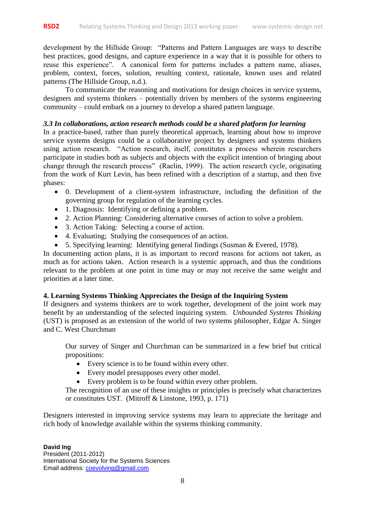development by the Hillside Group: "Patterns and Pattern Languages are ways to describe best practices, good designs, and capture experience in a way that it is possible for others to reuse this experience". A canonical form for patterns includes a pattern name, aliases, problem, context, forces, solution, resulting context, rationale, known uses and related patterns (The Hillside Group, n.d.).

To communicate the reasoning and motivations for design choices in service systems, designers and systems thinkers – potentially driven by members of the systems engineering community – could embark on a journey to develop a shared pattern language.

#### *3.3 In collaborations, action research methods could be a shared platform for learning*

In a practice-based, rather than purely theoretical approach, learning about how to improve service systems designs could be a collaborative project by designers and systems thinkers using action research. "Action research, itself, constitutes a process wherein researchers participate in studies both as subjects and objects with the explicit intention of bringing about change through the research process" (Raelin, 1999). The action research cycle, originating from the work of Kurt Levin, has been refined with a description of a startup, and then five phases:

- 0. Development of a client-system infrastructure, including the definition of the governing group for regulation of the learning cycles.
- 1. Diagnosis: Identifying or defining a problem.
- 2. Action Planning: Considering alternative courses of action to solve a problem.
- 3. Action Taking: Selecting a course of action.
- 4. Evaluating; Studying the consequences of an action.
- 5. Specifying learning: Identifying general findings (Susman & Evered, 1978).

In documenting action plans, it is as important to record reasons for actions not taken, as much as for actions taken. Action research is a systemic approach, and thus the conditions relevant to the problem at one point in time may or may not receive the same weight and priorities at a later time.

#### **4. Learning Systems Thinking Appreciates the Design of the Inquiring System**

If designers and systems thinkers are to work together, development of the joint work may benefit by an understanding of the selected inquiring system. *Unbounded Systems Thinking* (UST) is proposed as an extension of the world of two systems philosopher, Edgar A. Singer and C. West Churchman

Our survey of Singer and Churchman can be summarized in a few brief but critical propositions:

- Every science is to be found within every other.
- Every model presupposes every other model.
- Every problem is to be found within every other problem.

The recognition of an use of these insights or principles is precisely what characterizes or constitutes UST. (Mitroff & Linstone, 1993, p. 171)

Designers interested in improving service systems may learn to appreciate the heritage and rich body of knowledge available within the systems thinking community.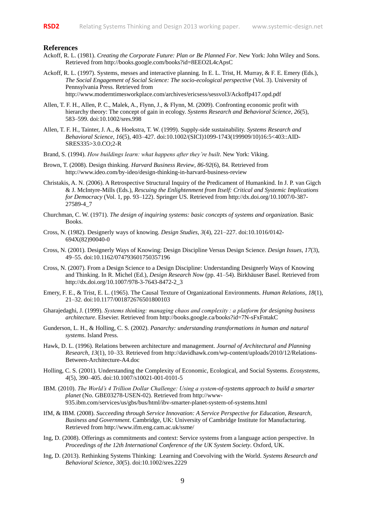#### **References**

- Ackoff, R. L. (1981). *Creating the Corporate Future: Plan or Be Planned For*. New York: John Wiley and Sons. Retrieved from http://books.google.com/books?id=8EEO2L4cApsC
- Ackoff, R. L. (1997). Systems, messes and interactive planning. In E. L. Trist, H. Murray, & F. E. Emery (Eds.), *The Social Engagement of Social Science: The socio-ecological perspective* (Vol. 3). University of Pennsylvania Press. Retrieved from http://www.moderntimesworkplace.com/archives/ericsess/sessvol3/Ackoffp417.opd.pdf
- Allen, T. F. H., Allen, P. C., Malek, A., Flynn, J., & Flynn, M. (2009). Confronting economic profit with hierarchy theory: The concept of gain in ecology. *Systems Research and Behavioral Science*, *26*(5), 583–599. doi:10.1002/sres.998
- Allen, T. F. H., Tainter, J. A., & Hoekstra, T. W. (1999). Supply-side sustainability. *Systems Research and Behavioral Science*, *16*(5), 403–427. doi:10.1002/(SICI)1099-1743(199909/10)16:5<403::AID-SRES335>3.0.CO;2-R
- Brand, S. (1994). *How buildings learn: what happens after they're built*. New York: Viking.
- Brown, T. (2008). Design thinking. *Harvard Business Review*, *86-92*(6), 84. Retrieved from http://www.ideo.com/by-ideo/design-thinking-in-harvard-business-review
- Christakis, A. N. (2006). A Retrospective Structural Inquiry of the Predicament of Humankind. In J. P. van Gigch & J. McIntyre-Mills (Eds.), *Rescuing the Enlightenment from Itself: Critical and Systemic Implications for Democracy* (Vol. 1, pp. 93–122). Springer US. Retrieved from http://dx.doi.org/10.1007/0-387- 27589-4\_7
- Churchman, C. W. (1971). *The design of inquiring systems: basic concepts of systems and organization*. Basic Books.
- Cross, N. (1982). Designerly ways of knowing. *Design Studies*, *3*(4), 221–227. doi:10.1016/0142- 694X(82)90040-0
- Cross, N. (2001). Designerly Ways of Knowing: Design Discipline Versus Design Science. *Design Issues*, *17*(3), 49–55. doi:10.1162/074793601750357196
- Cross, N. (2007). From a Design Science to a Design Discipline: Understanding Designerly Ways of Knowing and Thinking. In R. Michel (Ed.), *Design Research Now* (pp. 41–54). Birkhäuser Basel. Retrieved from http://dx.doi.org/10.1007/978-3-7643-8472-2\_3
- Emery, F. E., & Trist, E. L. (1965). The Causal Texture of Organizational Environments. *Human Relations*, *18*(1), 21–32. doi:10.1177/001872676501800103
- Gharajedaghi, J. (1999). *Systems thinking: managing chaos and complexity : a platform for designing business architecture*. Elsevier. Retrieved from http://books.google.ca/books?id=7N-sFxFntakC
- Gunderson, L. H., & Holling, C. S. (2002). *Panarchy: understanding transformations in human and natural systems*. Island Press.
- Hawk, D. L. (1996). Relations between architecture and management. *Journal of Architectural and Planning Research*, *13*(1), 10–33. Retrieved from http://davidhawk.com/wp-content/uploads/2010/12/Relations-Between-Architecture-A4.doc
- Holling, C. S. (2001). Understanding the Complexity of Economic, Ecological, and Social Systems. *Ecosystems*, *4*(5), 390–405. doi:10.1007/s10021-001-0101-5
- IBM. (2010). *The World's 4 Trillion Dollar Challenge: Using a system-of-systems approach to build a smarter planet* (No. GBE03278-USEN-02). Retrieved from http://www-935.ibm.com/services/us/gbs/bus/html/ibv-smarter-planet-system-of-systems.html
- IfM, & IBM. (2008). *Succeeding through Service Innovation: A Service Perspective for Education, Research, Business and Government*. Cambridge, UK: University of Cambridge Institute for Manufacturing. Retrieved from http://www.ifm.eng.cam.ac.uk/ssme/
- Ing, D. (2008). Offerings as commitments and context: Service systems from a language action perspective. In *Proceedings of the 12th International Conference of the UK System Society*. Oxford, UK.
- Ing, D. (2013). Rethinking Systems Thinking: Learning and Coevolving with the World. *Systems Research and Behavioral Science*, *30*(5). doi:10.1002/sres.2229